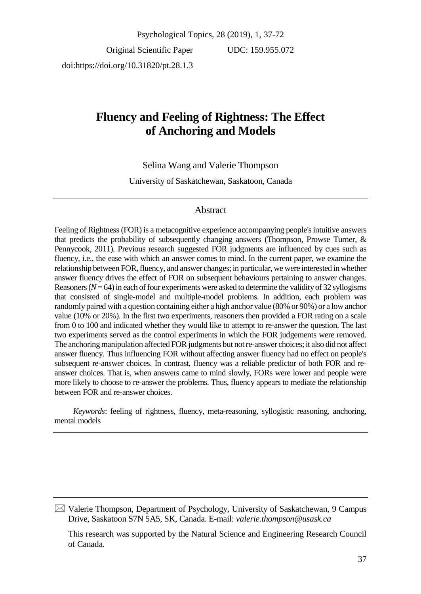Original Scientific Paper doi:https://doi.org/10.31820/pt.28.1.3

UDC: 159.955.072

# **Fluency and Feeling of Rightness: The Effect of Anchoring and Models**

Selina Wang and Valerie Thompson

University of Saskatchewan, Saskatoon, Canada

### Abstract

Feeling of Rightness (FOR) is a metacognitive experience accompanying people's intuitive answers that predicts the probability of subsequently changing answers (Thompson, Prowse Turner, & Pennycook, 2011). Previous research suggested FOR judgments are influenced by cues such as fluency, i.e., the ease with which an answer comes to mind. In the current paper, we examine the relationship between FOR, fluency, and answer changes; in particular, we were interested in whether answer fluency drives the effect of FOR on subsequent behaviours pertaining to answer changes. Reasoners (*N*= 64) in each of four experiments were asked to determine the validity of 32 syllogisms that consisted of single-model and multiple-model problems. In addition, each problem was randomly paired with a question containing either a high anchor value (80% or 90%) or a low anchor value (10% or 20%). In the first two experiments, reasoners then provided a FOR rating on a scale from 0 to 100 and indicated whether they would like to attempt to re-answer the question. The last two experiments served as the control experiments in which the FOR judgements were removed. The anchoring manipulation affected FOR judgments but not re-answer choices; it also did not affect answer fluency. Thus influencing FOR without affecting answer fluency had no effect on people's subsequent re-answer choices. In contrast, fluency was a reliable predictor of both FOR and reanswer choices. That is, when answers came to mind slowly, FORs were lower and people were more likely to choose to re-answer the problems. Thus, fluency appears to mediate the relationship between FOR and re-answer choices.

*Keywords*: feeling of rightness, fluency, meta-reasoning, syllogistic reasoning, anchoring, mental models

 $\boxtimes$  Valerie Thompson, Department of Psychology, University of Saskatchewan, 9 Campus Drive, Saskatoon S7N 5A5, SK, Canada. E-mail: *valerie.thompson@usask.ca*

This research was supported by the Natural Science and Engineering Research Council of Canada.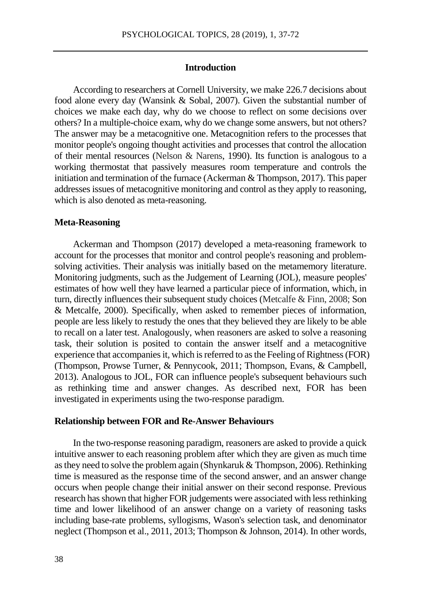### **Introduction**

According to researchers at Cornell University, we make 226.7 decisions about food alone every day (Wansink & Sobal, 2007). Given the substantial number of choices we make each day, why do we choose to reflect on some decisions over others? In a multiple-choice exam, why do we change some answers, but not others? The answer may be a metacognitive one. Metacognition refers to the processes that monitor people's ongoing thought activities and processes that control the allocation of their mental resources (Nelson & Narens, 1990). Its function is analogous to a working thermostat that passively measures room temperature and controls the initiation and termination of the furnace (Ackerman & Thompson, 2017). This paper addresses issues of metacognitive monitoring and control as they apply to reasoning, which is also denoted as meta-reasoning.

#### **Meta-Reasoning**

Ackerman and Thompson (2017) developed a meta-reasoning framework to account for the processes that monitor and control people's reasoning and problemsolving activities. Their analysis was initially based on the metamemory literature. Monitoring judgments, such as the Judgement of Learning (JOL), measure peoples' estimates of how well they have learned a particular piece of information, which, in turn, directly influences their subsequent study choices (Metcalfe & Finn, 2008; Son & Metcalfe, 2000). Specifically, when asked to remember pieces of information, people are less likely to restudy the ones that they believed they are likely to be able to recall on a later test. Analogously, when reasoners are asked to solve a reasoning task, their solution is posited to contain the answer itself and a metacognitive experience that accompanies it, which is referred to as the Feeling of Rightness (FOR) (Thompson, Prowse Turner, & Pennycook, 2011; Thompson, Evans, & Campbell, 2013). Analogous to JOL, FOR can influence people's subsequent behaviours such as rethinking time and answer changes. As described next, FOR has been investigated in experiments using the two-response paradigm.

#### **Relationship between FOR and Re-Answer Behaviours**

In the two-response reasoning paradigm, reasoners are asked to provide a quick intuitive answer to each reasoning problem after which they are given as much time as they need to solve the problem again (Shynkaruk & Thompson, 2006). Rethinking time is measured as the response time of the second answer, and an answer change occurs when people change their initial answer on their second response. Previous research has shown that higher FOR judgements were associated with less rethinking time and lower likelihood of an answer change on a variety of reasoning tasks including base-rate problems, syllogisms, Wason's selection task, and denominator neglect (Thompson et al., 2011, 2013; Thompson & Johnson, 2014). In other words,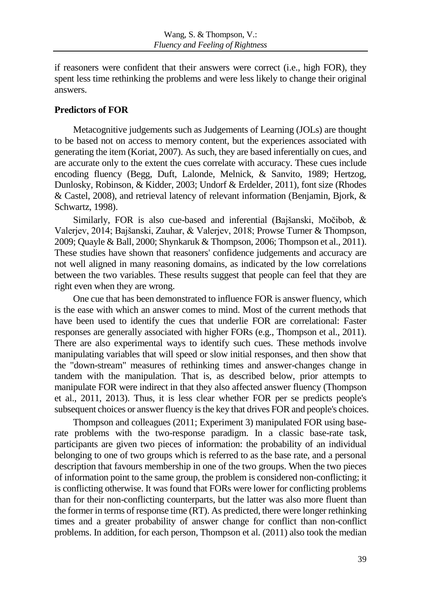if reasoners were confident that their answers were correct (i.e., high FOR), they spent less time rethinking the problems and were less likely to change their original answers.

# **Predictors of FOR**

Metacognitive judgements such as Judgements of Learning (JOLs) are thought to be based not on access to memory content, but the experiences associated with generating the item (Koriat, 2007). As such, they are based inferentially on cues, and are accurate only to the extent the cues correlate with accuracy. These cues include encoding fluency (Begg, Duft, Lalonde, Melnick, & Sanvito, 1989; Hertzog, Dunlosky, Robinson, & Kidder, 2003; Undorf & Erdelder, 2011), font size (Rhodes & Castel, 2008), and retrieval latency of relevant information (Benjamin, Bjork, & Schwartz, 1998).

Similarly, FOR is also cue-based and inferential (Bajšanski, Močibob, & Valerjev, 2014; Bajšanski, Zauhar, & Valerjev, 2018; Prowse Turner & Thompson, 2009; Quayle & Ball, 2000; Shynkaruk & Thompson, 2006; Thompson et al., 2011). These studies have shown that reasoners' confidence judgements and accuracy are not well aligned in many reasoning domains, as indicated by the low correlations between the two variables. These results suggest that people can feel that they are right even when they are wrong.

One cue that has been demonstrated to influence FOR is answer fluency, which is the ease with which an answer comes to mind. Most of the current methods that have been used to identify the cues that underlie FOR are correlational: Faster responses are generally associated with higher FORs (e.g., Thompson et al., 2011). There are also experimental ways to identify such cues. These methods involve manipulating variables that will speed or slow initial responses, and then show that the "down-stream" measures of rethinking times and answer-changes change in tandem with the manipulation. That is, as described below, prior attempts to manipulate FOR were indirect in that they also affected answer fluency (Thompson et al., 2011, 2013). Thus, it is less clear whether FOR per se predicts people's subsequent choices or answer fluency is the key that drives FOR and people's choices.

Thompson and colleagues (2011; Experiment 3) manipulated FOR using baserate problems with the two-response paradigm. In a classic base-rate task, participants are given two pieces of information: the probability of an individual belonging to one of two groups which is referred to as the base rate, and a personal description that favours membership in one of the two groups. When the two pieces of information point to the same group, the problem is considered non-conflicting; it is conflicting otherwise. It was found that FORs were lower for conflicting problems than for their non-conflicting counterparts, but the latter was also more fluent than the former in terms of response time (RT). As predicted, there were longer rethinking times and a greater probability of answer change for conflict than non-conflict problems. In addition, for each person, Thompson et al. (2011) also took the median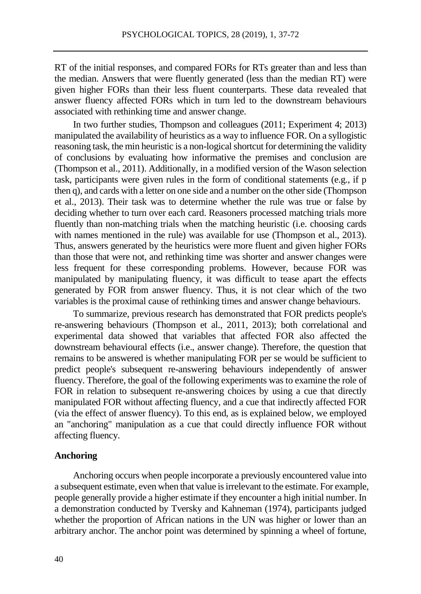RT of the initial responses, and compared FORs for RTs greater than and less than the median. Answers that were fluently generated (less than the median RT) were given higher FORs than their less fluent counterparts. These data revealed that answer fluency affected FORs which in turn led to the downstream behaviours associated with rethinking time and answer change.

In two further studies, Thompson and colleagues (2011; Experiment 4; 2013) manipulated the availability of heuristics as a way to influence FOR. On a syllogistic reasoning task, the min heuristic is a non-logical shortcut for determining the validity of conclusions by evaluating how informative the premises and conclusion are (Thompson et al., 2011). Additionally, in a modified version of the Wason selection task, participants were given rules in the form of conditional statements (e.g., if p then q), and cards with a letter on one side and a number on the other side (Thompson et al., 2013). Their task was to determine whether the rule was true or false by deciding whether to turn over each card. Reasoners processed matching trials more fluently than non-matching trials when the matching heuristic (i.e. choosing cards with names mentioned in the rule) was available for use (Thompson et al., 2013). Thus, answers generated by the heuristics were more fluent and given higher FORs than those that were not, and rethinking time was shorter and answer changes were less frequent for these corresponding problems. However, because FOR was manipulated by manipulating fluency, it was difficult to tease apart the effects generated by FOR from answer fluency. Thus, it is not clear which of the two variables is the proximal cause of rethinking times and answer change behaviours.

To summarize, previous research has demonstrated that FOR predicts people's re-answering behaviours (Thompson et al., 2011, 2013); both correlational and experimental data showed that variables that affected FOR also affected the downstream behavioural effects (i.e., answer change). Therefore, the question that remains to be answered is whether manipulating FOR per se would be sufficient to predict people's subsequent re-answering behaviours independently of answer fluency. Therefore, the goal of the following experiments was to examine the role of FOR in relation to subsequent re-answering choices by using a cue that directly manipulated FOR without affecting fluency, and a cue that indirectly affected FOR (via the effect of answer fluency). To this end, as is explained below, we employed an "anchoring" manipulation as a cue that could directly influence FOR without affecting fluency.

### **Anchoring**

Anchoring occurs when people incorporate a previously encountered value into a subsequent estimate, even when that value is irrelevant to the estimate. For example, people generally provide a higher estimate if they encounter a high initial number. In a demonstration conducted by Tversky and Kahneman (1974), participants judged whether the proportion of African nations in the UN was higher or lower than an arbitrary anchor. The anchor point was determined by spinning a wheel of fortune,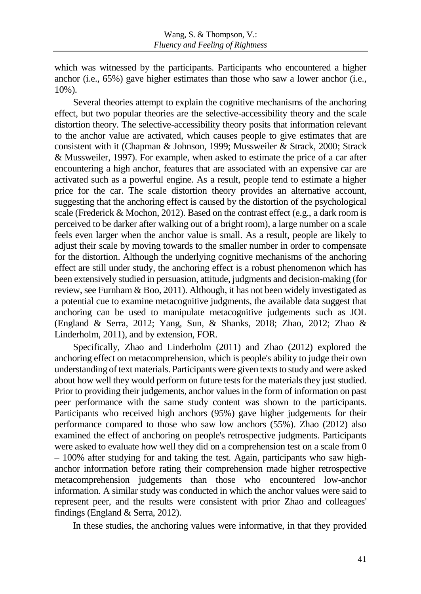which was witnessed by the participants. Participants who encountered a higher anchor (i.e., 65%) gave higher estimates than those who saw a lower anchor (i.e., 10%).

Several theories attempt to explain the cognitive mechanisms of the anchoring effect, but two popular theories are the selective-accessibility theory and the scale distortion theory. The selective-accessibility theory posits that information relevant to the anchor value are activated, which causes people to give estimates that are consistent with it (Chapman & Johnson, 1999; Mussweiler & Strack, 2000; Strack & Mussweiler, 1997). For example, when asked to estimate the price of a car after encountering a high anchor, features that are associated with an expensive car are activated such as a powerful engine. As a result, people tend to estimate a higher price for the car. The scale distortion theory provides an alternative account, suggesting that the anchoring effect is caused by the distortion of the psychological scale (Frederick & Mochon, 2012). Based on the contrast effect (e.g., a dark room is perceived to be darker after walking out of a bright room), a large number on a scale feels even larger when the anchor value is small. As a result, people are likely to adjust their scale by moving towards to the smaller number in order to compensate for the distortion. Although the underlying cognitive mechanisms of the anchoring effect are still under study, the anchoring effect is a robust phenomenon which has been extensively studied in persuasion, attitude, judgments and decision-making (for review, see Furnham & Boo, 2011). Although, it has not been widely investigated as a potential cue to examine metacognitive judgments, the available data suggest that anchoring can be used to manipulate metacognitive judgements such as JOL (England & Serra, 2012; Yang, Sun, & Shanks, 2018; Zhao, 2012; Zhao & Linderholm, 2011), and by extension, FOR.

Specifically, Zhao and Linderholm (2011) and Zhao (2012) explored the anchoring effect on metacomprehension, which is people's ability to judge their own understanding of text materials. Participants were given texts to study and were asked about how well they would perform on future tests for the materials they just studied. Prior to providing their judgements, anchor values in the form of information on past peer performance with the same study content was shown to the participants. Participants who received high anchors (95%) gave higher judgements for their performance compared to those who saw low anchors (55%). Zhao (2012) also examined the effect of anchoring on people's retrospective judgments. Participants were asked to evaluate how well they did on a comprehension test on a scale from 0 – 100% after studying for and taking the test. Again, participants who saw highanchor information before rating their comprehension made higher retrospective metacomprehension judgements than those who encountered low-anchor information. A similar study was conducted in which the anchor values were said to represent peer, and the results were consistent with prior Zhao and colleagues' findings (England & Serra, 2012).

In these studies, the anchoring values were informative, in that they provided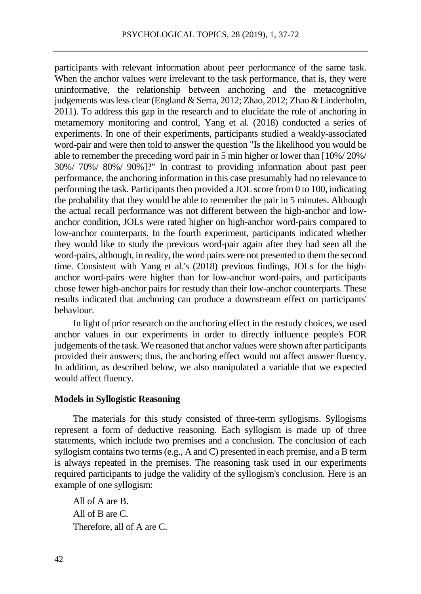participants with relevant information about peer performance of the same task. When the anchor values were irrelevant to the task performance, that is, they were uninformative, the relationship between anchoring and the metacognitive judgements was less clear (England & Serra, 2012; Zhao, 2012; Zhao & Linderholm, 2011). To address this gap in the research and to elucidate the role of anchoring in metamemory monitoring and control, Yang et al. (2018) conducted a series of experiments. In one of their experiments, participants studied a weakly-associated word-pair and were then told to answer the question "Is the likelihood you would be able to remember the preceding word pair in 5 min higher or lower than [10%/ 20%/ 30%/ 70%/ 80%/ 90%]?" In contrast to providing information about past peer performance, the anchoring information in this case presumably had no relevance to performing the task. Participants then provided a JOL score from 0 to 100, indicating the probability that they would be able to remember the pair in 5 minutes. Although the actual recall performance was not different between the high-anchor and lowanchor condition, JOLs were rated higher on high-anchor word-pairs compared to low-anchor counterparts. In the fourth experiment, participants indicated whether they would like to study the previous word-pair again after they had seen all the word-pairs, although, in reality, the word pairs were not presented to them the second time. Consistent with Yang et al.'s (2018) previous findings, JOLs for the highanchor word-pairs were higher than for low-anchor word-pairs, and participants chose fewer high-anchor pairs for restudy than their low-anchor counterparts. These results indicated that anchoring can produce a downstream effect on participants' behaviour.

In light of prior research on the anchoring effect in the restudy choices, we used anchor values in our experiments in order to directly influence people's FOR judgements of the task. We reasoned that anchor values were shown after participants provided their answers; thus, the anchoring effect would not affect answer fluency. In addition, as described below, we also manipulated a variable that we expected would affect fluency.

### **Models in Syllogistic Reasoning**

The materials for this study consisted of three-term syllogisms. Syllogisms represent a form of deductive reasoning. Each syllogism is made up of three statements, which include two premises and a conclusion. The conclusion of each syllogism containstwo terms (e.g., A and C) presented in each premise, and a B term is always repeated in the premises. The reasoning task used in our experiments required participants to judge the validity of the syllogism's conclusion. Here is an example of one syllogism:

All of A are B. All of B are C. Therefore, all of A are C.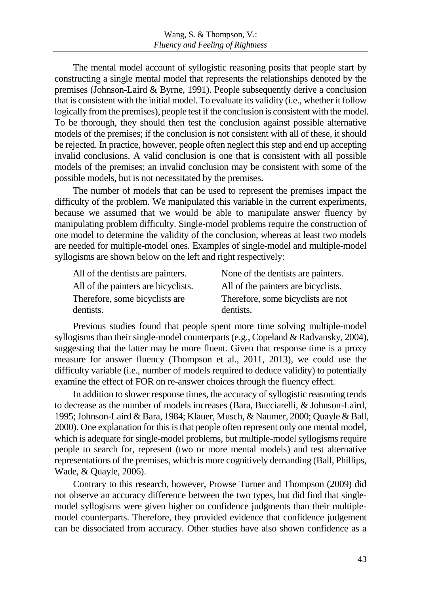The mental model account of syllogistic reasoning posits that people start by constructing a single mental model that represents the relationships denoted by the premises (Johnson-Laird & Byrne, 1991). People subsequently derive a conclusion that is consistent with the initial model. To evaluate its validity (i.e., whether it follow logically from the premises), people test if the conclusion is consistent with the model. To be thorough, they should then test the conclusion against possible alternative models of the premises; if the conclusion is not consistent with all of these, it should be rejected. In practice, however, people often neglect this step and end up accepting invalid conclusions. A valid conclusion is one that is consistent with all possible models of the premises; an invalid conclusion may be consistent with some of the possible models, but is not necessitated by the premises.

The number of models that can be used to represent the premises impact the difficulty of the problem. We manipulated this variable in the current experiments, because we assumed that we would be able to manipulate answer fluency by manipulating problem difficulty. Single-model problems require the construction of one model to determine the validity of the conclusion, whereas at least two models are needed for multiple-model ones. Examples of single-model and multiple-model syllogisms are shown below on the left and right respectively:

| All of the dentists are painters.   | None of the dentists are painters.  |
|-------------------------------------|-------------------------------------|
| All of the painters are bicyclists. | All of the painters are bicyclists. |
| Therefore, some bicyclists are      | Therefore, some bicyclists are not  |
| dentists.                           | dentists.                           |

Previous studies found that people spent more time solving multiple-model syllogisms than their single-model counterparts (e.g., Copeland & Radvansky, 2004), suggesting that the latter may be more fluent. Given that response time is a proxy measure for answer fluency (Thompson et al., 2011, 2013), we could use the difficulty variable (i.e., number of models required to deduce validity) to potentially examine the effect of FOR on re-answer choices through the fluency effect.

In addition to slower response times, the accuracy of syllogistic reasoning tends to decrease as the number of models increases (Bara, Bucciarelli, & Johnson-Laird, 1995; Johnson-Laird & Bara, 1984; Klauer, Musch, & Naumer, 2000; Quayle & Ball, 2000). One explanation for this is that people often represent only one mental model, which is adequate for single-model problems, but multiple-model syllogisms require people to search for, represent (two or more mental models) and test alternative representations of the premises, which is more cognitively demanding (Ball, Phillips, Wade, & Quayle, 2006).

Contrary to this research, however, Prowse Turner and Thompson (2009) did not observe an accuracy difference between the two types, but did find that singlemodel syllogisms were given higher on confidence judgments than their multiplemodel counterparts. Therefore, they provided evidence that confidence judgement can be dissociated from accuracy. Other studies have also shown confidence as a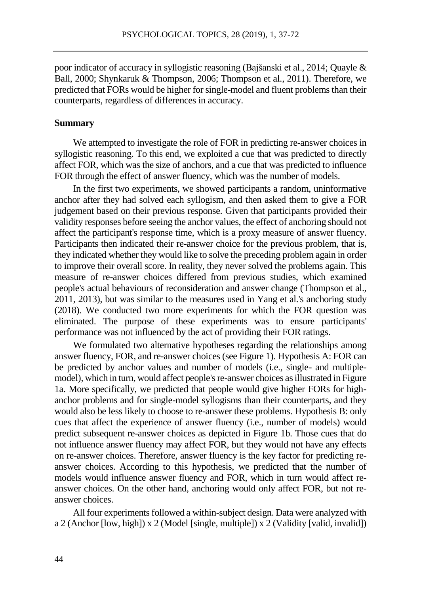poor indicator of accuracy in syllogistic reasoning (Bajšanski et al., 2014; Quayle & Ball, 2000; Shynkaruk & Thompson, 2006; Thompson et al., 2011). Therefore, we predicted that FORs would be higher for single-model and fluent problems than their counterparts, regardless of differences in accuracy.

### **Summary**

We attempted to investigate the role of FOR in predicting re-answer choices in syllogistic reasoning. To this end, we exploited a cue that was predicted to directly affect FOR, which was the size of anchors, and a cue that was predicted to influence FOR through the effect of answer fluency, which was the number of models.

In the first two experiments, we showed participants a random, uninformative anchor after they had solved each syllogism, and then asked them to give a FOR judgement based on their previous response. Given that participants provided their validity responses before seeing the anchor values, the effect of anchoring should not affect the participant's response time, which is a proxy measure of answer fluency. Participants then indicated their re-answer choice for the previous problem, that is, they indicated whether they would like to solve the preceding problem again in order to improve their overall score. In reality, they never solved the problems again. This measure of re-answer choices differed from previous studies, which examined people's actual behaviours of reconsideration and answer change (Thompson et al., 2011, 2013), but was similar to the measures used in Yang et al.'s anchoring study (2018). We conducted two more experiments for which the FOR question was eliminated. The purpose of these experiments was to ensure participants' performance was not influenced by the act of providing their FOR ratings.

We formulated two alternative hypotheses regarding the relationships among answer fluency, FOR, and re-answer choices (see Figure 1). Hypothesis A: FOR can be predicted by anchor values and number of models (i.e., single- and multiplemodel), which in turn, would affect people's re-answer choices as illustrated in Figure 1a. More specifically, we predicted that people would give higher FORs for highanchor problems and for single-model syllogisms than their counterparts, and they would also be less likely to choose to re-answer these problems. Hypothesis B: only cues that affect the experience of answer fluency (i.e., number of models) would predict subsequent re-answer choices as depicted in Figure 1b. Those cues that do not influence answer fluency may affect FOR, but they would not have any effects on re-answer choices. Therefore, answer fluency is the key factor for predicting reanswer choices. According to this hypothesis, we predicted that the number of models would influence answer fluency and FOR, which in turn would affect reanswer choices. On the other hand, anchoring would only affect FOR, but not reanswer choices.

All four experiments followed a within-subject design. Data were analyzed with a 2 (Anchor [low, high]) x 2 (Model [single, multiple]) x 2 (Validity [valid, invalid])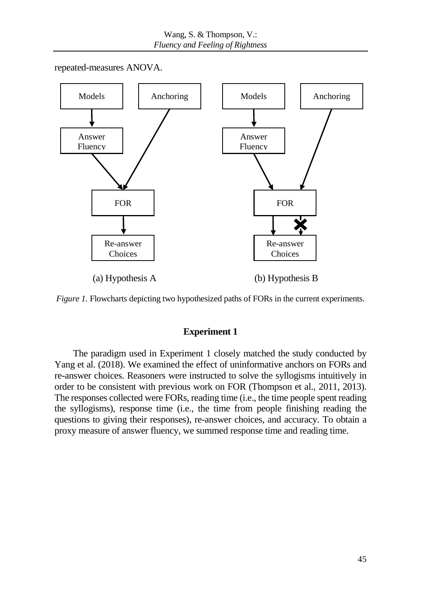repeated-measures ANOVA.





# **Experiment 1**

The paradigm used in Experiment 1 closely matched the study conducted by Yang et al. (2018). We examined the effect of uninformative anchors on FORs and re-answer choices. Reasoners were instructed to solve the syllogisms intuitively in order to be consistent with previous work on FOR (Thompson et al., 2011, 2013). The responses collected were FORs, reading time (i.e., the time people spent reading the syllogisms), response time (i.e., the time from people finishing reading the questions to giving their responses), re-answer choices, and accuracy. To obtain a proxy measure of answer fluency, we summed response time and reading time.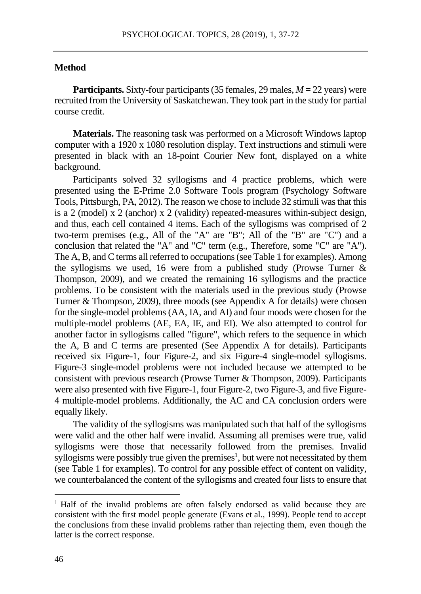### **Method**

**Participants.** Sixty-four participants (35 females, 29 males, *M* = 22 years) were recruited from the University of Saskatchewan. They took part in the study for partial course credit.

**Materials.** The reasoning task was performed on a Microsoft Windows laptop computer with a 1920 x 1080 resolution display. Text instructions and stimuli were presented in black with an 18-point Courier New font, displayed on a white background.

Participants solved 32 syllogisms and 4 practice problems, which were presented using the E-Prime 2.0 Software Tools program (Psychology Software Tools, Pittsburgh, PA, 2012). The reason we chose to include 32 stimuli was that this is a 2 (model) x 2 (anchor) x 2 (validity) repeated-measures within-subject design, and thus, each cell contained 4 items. Each of the syllogisms was comprised of 2 two-term premises (e.g., All of the "A" are "B"; All of the "B" are "C") and a conclusion that related the "A" and "C" term (e.g., Therefore, some "C" are "A"). The A, B, and C terms all referred to occupations (see Table 1 for examples). Among the syllogisms we used, 16 were from a published study (Prowse Turner  $\&$ Thompson, 2009), and we created the remaining 16 syllogisms and the practice problems. To be consistent with the materials used in the previous study (Prowse Turner & Thompson, 2009), three moods (see Appendix A for details) were chosen for the single-model problems (AA, IA, and AI) and four moods were chosen for the multiple-model problems (AE, EA, IE, and EI). We also attempted to control for another factor in syllogisms called "figure", which refers to the sequence in which the A, B and C terms are presented (See Appendix A for details). Participants received six Figure-1, four Figure-2, and six Figure-4 single-model syllogisms. Figure-3 single-model problems were not included because we attempted to be consistent with previous research (Prowse Turner & Thompson, 2009). Participants were also presented with five Figure-1, four Figure-2, two Figure-3, and five Figure-4 multiple-model problems. Additionally, the AC and CA conclusion orders were equally likely.

The validity of the syllogisms was manipulated such that half of the syllogisms were valid and the other half were invalid. Assuming all premises were true, valid syllogisms were those that necessarily followed from the premises. Invalid syllogisms were possibly true given the premises<sup>1</sup>, but were not necessitated by them (see Table 1 for examples). To control for any possible effect of content on validity, we counterbalanced the content of the syllogisms and created four lists to ensure that

 $\overline{a}$ 

<sup>1</sup> Half of the invalid problems are often falsely endorsed as valid because they are consistent with the first model people generate (Evans et al., 1999). People tend to accept the conclusions from these invalid problems rather than rejecting them, even though the latter is the correct response.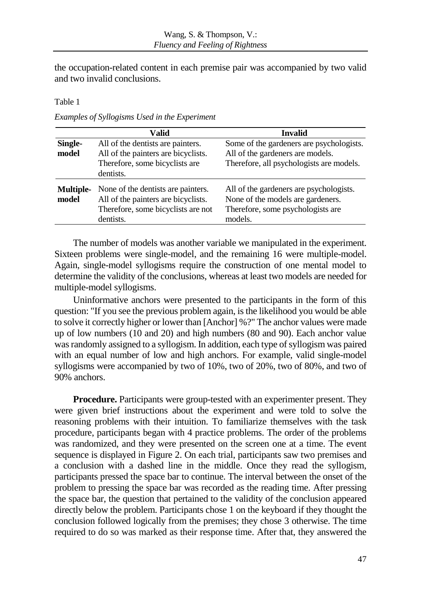the occupation-related content in each premise pair was accompanied by two valid and two invalid conclusions.

Table 1

*Examples of Syllogisms Used in the Experiment*

|                           | Valid                                                                                                                        | Invalid                                                                                                                      |
|---------------------------|------------------------------------------------------------------------------------------------------------------------------|------------------------------------------------------------------------------------------------------------------------------|
| Single-                   | All of the dentists are painters.                                                                                            | Some of the gardeners are psychologists.                                                                                     |
| model                     | All of the painters are bicyclists.                                                                                          | All of the gardeners are models.                                                                                             |
|                           | Therefore, some bicyclists are                                                                                               | Therefore, all psychologists are models.                                                                                     |
|                           | dentists.                                                                                                                    |                                                                                                                              |
| <b>Multiple-</b><br>model | None of the dentists are painters.<br>All of the painters are bicyclists.<br>Therefore, some bicyclists are not<br>dentists. | All of the gardeners are psychologists.<br>None of the models are gardeners.<br>Therefore, some psychologists are<br>models. |

The number of models was another variable we manipulated in the experiment. Sixteen problems were single-model, and the remaining 16 were multiple-model. Again, single-model syllogisms require the construction of one mental model to determine the validity of the conclusions, whereas at least two models are needed for multiple-model syllogisms.

Uninformative anchors were presented to the participants in the form of this question: "If you see the previous problem again, is the likelihood you would be able to solve it correctly higher or lower than [Anchor] %?" The anchor values were made up of low numbers (10 and 20) and high numbers (80 and 90). Each anchor value was randomly assigned to a syllogism. In addition, each type of syllogism was paired with an equal number of low and high anchors. For example, valid single-model syllogisms were accompanied by two of 10%, two of 20%, two of 80%, and two of 90% anchors.

**Procedure.** Participants were group-tested with an experimenter present. They were given brief instructions about the experiment and were told to solve the reasoning problems with their intuition. To familiarize themselves with the task procedure, participants began with 4 practice problems. The order of the problems was randomized, and they were presented on the screen one at a time. The event sequence is displayed in Figure 2. On each trial, participants saw two premises and a conclusion with a dashed line in the middle. Once they read the syllogism, participants pressed the space bar to continue. The interval between the onset of the problem to pressing the space bar was recorded as the reading time. After pressing the space bar, the question that pertained to the validity of the conclusion appeared directly below the problem. Participants chose 1 on the keyboard if they thought the conclusion followed logically from the premises; they chose 3 otherwise. The time required to do so was marked as their response time. After that, they answered the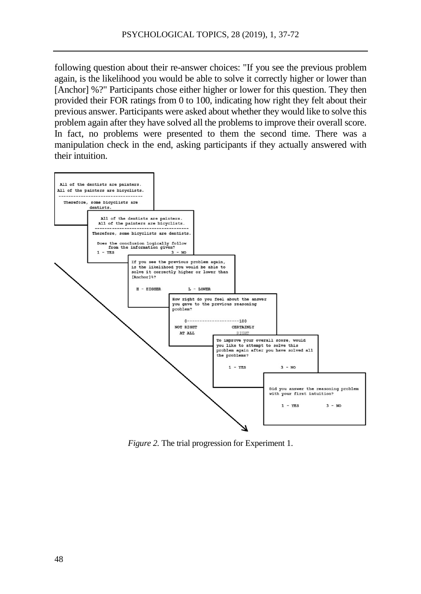following question about their re-answer choices: "If you see the previous problem again, is the likelihood you would be able to solve it correctly higher or lower than [Anchor] %?" Participants chose either higher or lower for this question. They then provided their FOR ratings from 0 to 100, indicating how right they felt about their previous answer. Participants were asked about whether they would like to solve this problem again after they have solved all the problems to improve their overall score. In fact, no problems were presented to them the second time. There was a manipulation check in the end, asking participants if they actually answered with their intuition.



*Figure 2.* The trial progression for Experiment 1.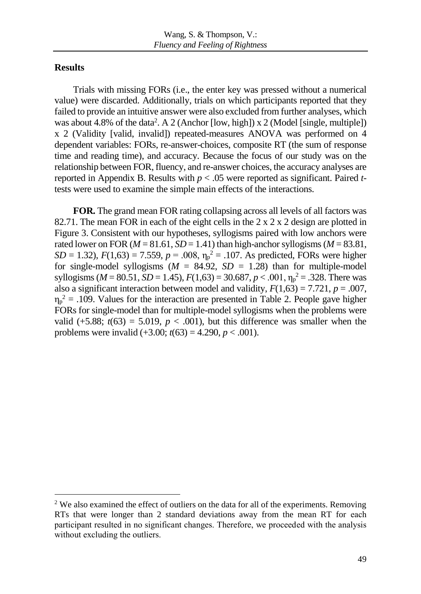# **Results**

 $\overline{a}$ 

Trials with missing FORs (i.e., the enter key was pressed without a numerical value) were discarded. Additionally, trials on which participants reported that they failed to provide an intuitive answer were also excluded from further analyses, which was about 4.8% of the data<sup>2</sup>. A 2 (Anchor [low, high]) x 2 (Model [single, multiple]) x 2 (Validity [valid, invalid]) repeated-measures ANOVA was performed on 4 dependent variables: FORs, re-answer-choices, composite RT (the sum of response time and reading time), and accuracy. Because the focus of our study was on the relationship between FOR, fluency, and re-answer choices, the accuracy analyses are reported in Appendix B. Results with *p* < .05 were reported as significant. Paired *t*tests were used to examine the simple main effects of the interactions.

**FOR.** The grand mean FOR rating collapsing across all levels of all factors was 82.71. The mean FOR in each of the eight cells in the 2 x 2 x 2 design are plotted in Figure 3. Consistent with our hypotheses, syllogisms paired with low anchors were rated lower on FOR ( $M = 81.61$ ,  $SD = 1.41$ ) than high-anchor syllogisms ( $M = 83.81$ ,  $SD = 1.32$ ),  $F(1,63) = 7.559$ ,  $p = .008$ ,  $\eta_p^2 = .107$ . As predicted, FORs were higher for single-model syllogisms  $(M = 84.92, SD = 1.28)$  than for multiple-model syllogisms ( $M = 80.51$ ,  $SD = 1.45$ ),  $F(1,63) = 30.687$ ,  $p < .001$ ,  $\eta_p^2 = .328$ . There was also a significant interaction between model and validity,  $F(1,63) = 7.721$ ,  $p = .007$ ,  $\eta_p^2$  = .109. Values for the interaction are presented in Table 2. People gave higher FORs for single-model than for multiple-model syllogisms when the problems were valid  $(+5.88; t(63) = 5.019, p < .001)$ , but this difference was smaller when the problems were invalid  $(+3.00; t(63) = 4.290, p < .001)$ .

<sup>&</sup>lt;sup>2</sup> We also examined the effect of outliers on the data for all of the experiments. Removing RTs that were longer than 2 standard deviations away from the mean RT for each participant resulted in no significant changes. Therefore, we proceeded with the analysis without excluding the outliers.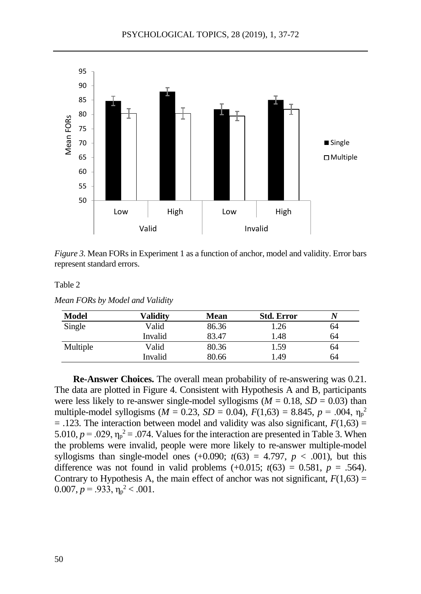

*Figure 3.* Mean FORs in Experiment 1 as a function of anchor, model and validity. Error bars represent standard errors.

*Mean FORs by Model and Validity*

| <b>Model</b> | Validitv | Mean  | <b>Std. Error</b> |    |
|--------------|----------|-------|-------------------|----|
| Single       | Valid    | 86.36 | 1.26              | 64 |
|              | Invalid  | 83.47 | 1.48              | 64 |
| Multiple     | Valid    | 80.36 | 1.59              | 64 |
|              | Invalid  | 80.66 | 1.49              | 64 |

**Re-Answer Choices.** The overall mean probability of re-answering was 0.21. The data are plotted in Figure 4. Consistent with Hypothesis A and B, participants were less likely to re-answer single-model syllogisms ( $M = 0.18$ ,  $SD = 0.03$ ) than multiple-model syllogisms ( $M = 0.23$ ,  $SD = 0.04$ ),  $F(1,63) = 8.845$ ,  $p = .004$ ,  $\eta_p^2$  $= .123$ . The interaction between model and validity was also significant,  $F(1,63) =$ 5.010,  $p = .029$ ,  $\eta_p^2 = .074$ . Values for the interaction are presented in Table 3. When the problems were invalid, people were more likely to re-answer multiple-model syllogisms than single-model ones  $(+0.090; t(63) = 4.797, p < .001)$ , but this difference was not found in valid problems  $(+0.015; t(63) = 0.581, p = .564)$ . Contrary to Hypothesis A, the main effect of anchor was not significant,  $F(1,63) =$ 0.007,  $p = .933$ ,  $\eta_p^2 < .001$ .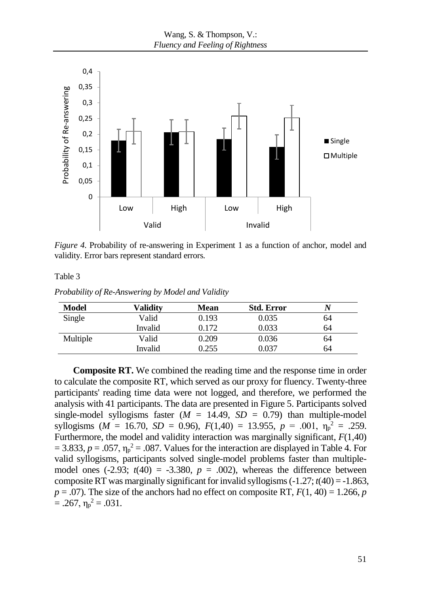

*Figure 4.* Probability of re-answering in Experiment 1 as a function of anchor, model and validity. Error bars represent standard errors.

*Probability of Re-Answering by Model and Validity*

| Model    | Validitv | <b>Mean</b> | <b>Std. Error</b> |    |
|----------|----------|-------------|-------------------|----|
| Single   | Valid    | 0.193       | 0.035             | 64 |
|          | Invalid  | 0.172       | 0.033             | 64 |
| Multiple | Valid    | 0.209       | 0.036             | 64 |
|          | Invalid  | 0.255       | 0.037             | 64 |

**Composite RT.** We combined the reading time and the response time in order to calculate the composite RT, which served as our proxy for fluency. Twenty-three participants' reading time data were not logged, and therefore, we performed the analysis with 41 participants. The data are presented in Figure 5. Participants solved single-model syllogisms faster  $(M = 14.49, SD = 0.79)$  than multiple-model syllogisms ( $M = 16.70$ ,  $SD = 0.96$ ),  $F(1,40) = 13.955$ ,  $p = .001$ ,  $\eta_p^2 = .259$ . Furthermore, the model and validity interaction was marginally significant, *F*(1,40)  $= 3.833, p = .057, \eta_p^2 = .087$ . Values for the interaction are displayed in Table 4. For valid syllogisms, participants solved single-model problems faster than multiplemodel ones  $(-2.93; t(40) = -3.380, p = .002)$ , whereas the difference between composite RT was marginally significant for invalid syllogisms (-1.27; *t*(40) = -1.863,  $p = .07$ ). The size of the anchors had no effect on composite RT,  $F(1, 40) = 1.266$ , *p*  $= .267, \eta_p^2 = .031.$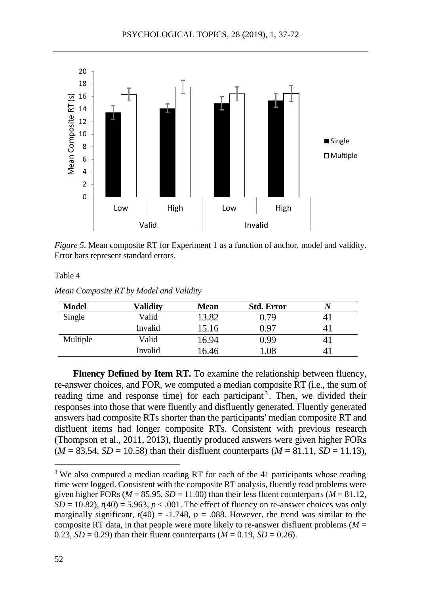

*Figure 5*. Mean composite RT for Experiment 1 as a function of anchor, model and validity. Error bars represent standard errors.

*Mean Composite RT by Model and Validity*

| Model    | Validitv | <b>Mean</b> | <b>Std. Error</b> |    |
|----------|----------|-------------|-------------------|----|
| Single   | Valid    | 13.82       | 0.79              |    |
|          | Invalid  | 15.16       | 0.97              |    |
| Multiple | Valid    | 16.94       | 0.99              |    |
|          | Invalid  | 16.46       | 0.08              | 41 |

**Fluency Defined by Item RT.** To examine the relationship between fluency, re-answer choices, and FOR, we computed a median composite RT (i.e., the sum of reading time and response time) for each participant<sup>3</sup>. Then, we divided their responses into those that were fluently and disfluently generated. Fluently generated answers had composite RTs shorter than the participants' median composite RT and disfluent items had longer composite RTs. Consistent with previous research (Thompson et al., 2011, 2013), fluently produced answers were given higher FORs  $(M = 83.54, SD = 10.58)$  than their disfluent counterparts  $(M = 81.11, SD = 11.13)$ ,

 $\overline{a}$ 

<sup>&</sup>lt;sup>3</sup> We also computed a median reading RT for each of the 41 participants whose reading time were logged. Consistent with the composite RT analysis, fluently read problems were given higher FORs ( $M = 85.95$ ,  $SD = 11.00$ ) than their less fluent counterparts ( $M = 81.12$ ,  $SD = 10.82$ ),  $t(40) = 5.963$ ,  $p < .001$ . The effect of fluency on re-answer choices was only marginally significant,  $t(40) = -1.748$ ,  $p = .088$ . However, the trend was similar to the composite RT data, in that people were more likely to re-answer disfluent problems  $(M =$ 0.23,  $SD = 0.29$ ) than their fluent counterparts ( $M = 0.19$ ,  $SD = 0.26$ ).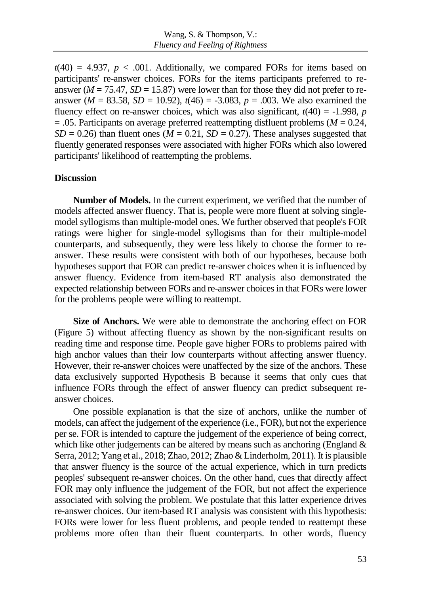$t(40) = 4.937$ ,  $p < .001$ . Additionally, we compared FORs for items based on participants' re-answer choices. FORs for the items participants preferred to reanswer ( $M = 75.47$ ,  $SD = 15.87$ ) were lower than for those they did not prefer to reanswer ( $M = 83.58$ ,  $SD = 10.92$ ),  $t(46) = -3.083$ ,  $p = .003$ . We also examined the fluency effect on re-answer choices, which was also significant,  $t(40) = -1.998$ , *p*  $= .05$ . Participants on average preferred reattempting disfluent problems ( $M = 0.24$ ,  $SD = 0.26$ ) than fluent ones ( $M = 0.21$ ,  $SD = 0.27$ ). These analyses suggested that fluently generated responses were associated with higher FORs which also lowered participants' likelihood of reattempting the problems.

### **Discussion**

**Number of Models.** In the current experiment, we verified that the number of models affected answer fluency. That is, people were more fluent at solving singlemodel syllogisms than multiple-model ones. We further observed that people's FOR ratings were higher for single-model syllogisms than for their multiple-model counterparts, and subsequently, they were less likely to choose the former to reanswer. These results were consistent with both of our hypotheses, because both hypotheses support that FOR can predict re-answer choices when it is influenced by answer fluency. Evidence from item-based RT analysis also demonstrated the expected relationship between FORs and re-answer choices in that FORs were lower for the problems people were willing to reattempt.

**Size of Anchors.** We were able to demonstrate the anchoring effect on FOR (Figure 5) without affecting fluency as shown by the non-significant results on reading time and response time. People gave higher FORs to problems paired with high anchor values than their low counterparts without affecting answer fluency. However, their re-answer choices were unaffected by the size of the anchors. These data exclusively supported Hypothesis B because it seems that only cues that influence FORs through the effect of answer fluency can predict subsequent reanswer choices.

One possible explanation is that the size of anchors, unlike the number of models, can affect the judgement of the experience (i.e., FOR), but not the experience per se. FOR is intended to capture the judgement of the experience of being correct, which like other judgements can be altered by means such as anchoring (England  $\&$ Serra, 2012; Yang et al., 2018; Zhao, 2012; Zhao & Linderholm, 2011). It is plausible that answer fluency is the source of the actual experience, which in turn predicts peoples' subsequent re-answer choices. On the other hand, cues that directly affect FOR may only influence the judgement of the FOR, but not affect the experience associated with solving the problem. We postulate that this latter experience drives re-answer choices. Our item-based RT analysis was consistent with this hypothesis: FORs were lower for less fluent problems, and people tended to reattempt these problems more often than their fluent counterparts. In other words, fluency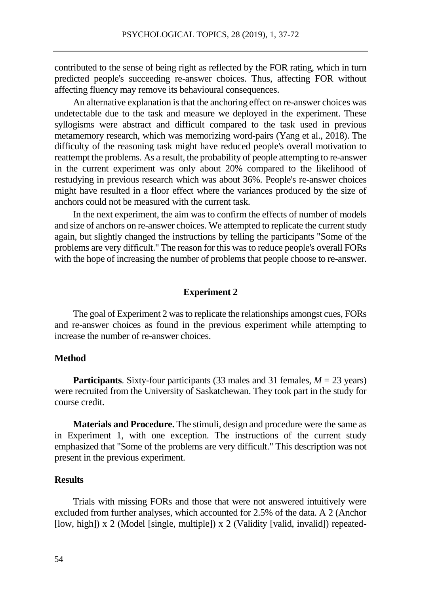contributed to the sense of being right as reflected by the FOR rating, which in turn predicted people's succeeding re-answer choices. Thus, affecting FOR without affecting fluency may remove its behavioural consequences.

An alternative explanation is that the anchoring effect on re-answer choices was undetectable due to the task and measure we deployed in the experiment. These syllogisms were abstract and difficult compared to the task used in previous metamemory research, which was memorizing word-pairs (Yang et al., 2018). The difficulty of the reasoning task might have reduced people's overall motivation to reattempt the problems. As a result, the probability of people attempting to re-answer in the current experiment was only about 20% compared to the likelihood of restudying in previous research which was about 36%. People's re-answer choices might have resulted in a floor effect where the variances produced by the size of anchors could not be measured with the current task.

In the next experiment, the aim was to confirm the effects of number of models and size of anchors on re-answer choices. We attempted to replicate the current study again, but slightly changed the instructions by telling the participants "Some of the problems are very difficult." The reason for this was to reduce people's overall FORs with the hope of increasing the number of problems that people choose to re-answer.

#### **Experiment 2**

The goal of Experiment 2 was to replicate the relationships amongst cues, FORs and re-answer choices as found in the previous experiment while attempting to increase the number of re-answer choices.

#### **Method**

**Participants**. Sixty-four participants (33 males and 31 females,  $M = 23$  years) were recruited from the University of Saskatchewan. They took part in the study for course credit.

**Materials and Procedure.** The stimuli, design and procedure were the same as in Experiment 1, with one exception. The instructions of the current study emphasized that "Some of the problems are very difficult." This description was not present in the previous experiment.

# **Results**

Trials with missing FORs and those that were not answered intuitively were excluded from further analyses, which accounted for 2.5% of the data. A 2 (Anchor [low, high]) x 2 (Model [single, multiple]) x 2 (Validity [valid, invalid]) repeated-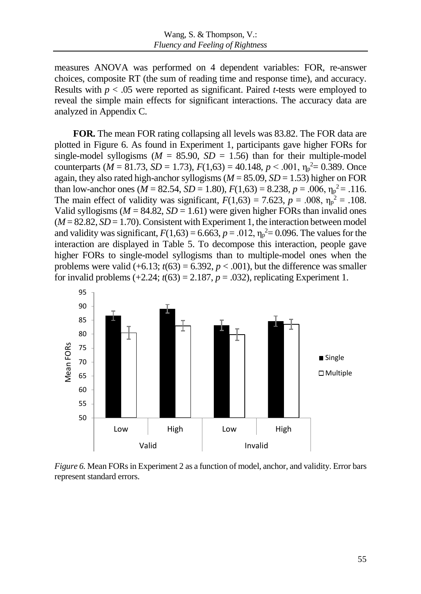measures ANOVA was performed on 4 dependent variables: FOR, re-answer choices, composite RT (the sum of reading time and response time), and accuracy. Results with *p* < .05 were reported as significant. Paired *t*-tests were employed to reveal the simple main effects for significant interactions. The accuracy data are analyzed in Appendix C.

**FOR.** The mean FOR rating collapsing all levels was 83.82. The FOR data are plotted in Figure 6. As found in Experiment 1, participants gave higher FORs for single-model syllogisms ( $M = 85.90$ ,  $SD = 1.56$ ) than for their multiple-model counterparts ( $M = 81.73$ ,  $SD = 1.73$ ),  $F(1,63) = 40.148$ ,  $p < .001$ ,  $\eta_p^2 = 0.389$ . Once again, they also rated high-anchor syllogisms (*M* = 85.09, *SD* = 1.53) higher on FOR than low-anchor ones ( $M = 82.54$ ,  $SD = 1.80$ ),  $F(1,63) = 8.238$ ,  $p = .006$ ,  $\eta_p^2 = .116$ . The main effect of validity was significant,  $F(1,63) = 7.623$ ,  $p = .008$ ,  $\eta_p^2 = .108$ . Valid syllogisms ( $M = 84.82$ ,  $SD = 1.61$ ) were given higher FORs than invalid ones  $(M = 82.82, SD = 1.70)$ . Consistent with Experiment 1, the interaction between model and validity was significant,  $F(1,63) = 6.663$ ,  $p = .012$ ,  $\eta_p^2 = 0.096$ . The values for the interaction are displayed in Table 5. To decompose this interaction, people gave higher FORs to single-model syllogisms than to multiple-model ones when the problems were valid  $(+6.13; t(63) = 6.392, p < .001)$ , but the difference was smaller for invalid problems  $(+2.24; t(63) = 2.187, p = .032)$ , replicating Experiment 1.



*Figure 6.* Mean FORs in Experiment 2 as a function of model, anchor, and validity. Error bars represent standard errors.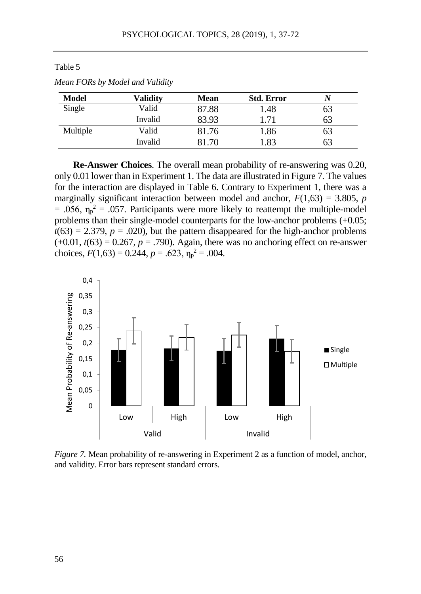| Model    | Validitv | <b>Mean</b> | <b>Std. Error</b> |    |
|----------|----------|-------------|-------------------|----|
| Single   | Valid    | 87.88       | 1.48              | 63 |
|          | Invalid  | 83.93       | 1.71              | 63 |
| Multiple | Valid    | 81.76       | 1.86              | 63 |
|          | Invalid  | 81.70       | l.83              | 63 |

*Mean FORs by Model and Validity*

**Re-Answer Choices**. The overall mean probability of re-answering was 0.20, only 0.01 lower than in Experiment 1. The data are illustrated in Figure 7. The values for the interaction are displayed in Table 6. Contrary to Experiment 1, there was a marginally significant interaction between model and anchor,  $F(1,63) = 3.805$ , *p*  $= .056$ ,  $\eta_p^2 = .057$ . Participants were more likely to reattempt the multiple-model problems than their single-model counterparts for the low-anchor problems (+0.05;  $t(63) = 2.379$ ,  $p = .020$ ), but the pattern disappeared for the high-anchor problems  $(+0.01, t(63) = 0.267, p = .790)$ . Again, there was no anchoring effect on re-answer choices,  $F(1,63) = 0.244$ ,  $p = .623$ ,  $\eta_p^2 = .004$ .



*Figure 7.* Mean probability of re-answering in Experiment 2 as a function of model, anchor, and validity. Error bars represent standard errors.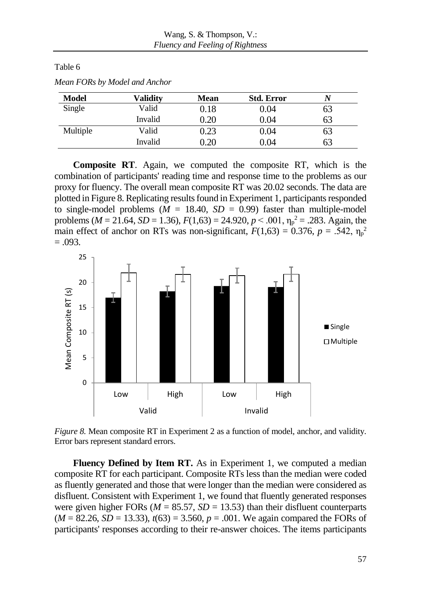| Model    | Validitv | <b>Mean</b> | <b>Std. Error</b> |    |
|----------|----------|-------------|-------------------|----|
| Single   | Valid    | $\rm 0.18$  | 0.04              | 63 |
|          | Invalid  | 0.20        | 0.04              | 63 |
| Multiple | Valid    | 0.23        | 0.04              | 63 |
|          | Invalid  | 0.20        | $0.04\,$          | 63 |

*Mean FORs by Model and Anchor*

**Composite RT**. Again, we computed the composite RT, which is the combination of participants' reading time and response time to the problems as our proxy for fluency. The overall mean composite RT was 20.02 seconds. The data are plotted in Figure 8. Replicating results found in Experiment 1, participants responded to single-model problems  $(M = 18.40, SD = 0.99)$  faster than multiple-model problems ( $M = 21.64$ ,  $SD = 1.36$ ),  $F(1,63) = 24.920$ ,  $p < .001$ ,  $\eta_p^2 = .283$ . Again, the main effect of anchor on RTs was non-significant,  $F(1,63) = 0.376$ ,  $p = .542$ ,  $\eta_p^2$  $=.093.$ 



*Figure 8.* Mean composite RT in Experiment 2 as a function of model, anchor, and validity. Error bars represent standard errors.

**Fluency Defined by Item RT.** As in Experiment 1, we computed a median composite RT for each participant. Composite RTs less than the median were coded as fluently generated and those that were longer than the median were considered as disfluent. Consistent with Experiment 1, we found that fluently generated responses were given higher FORs ( $M = 85.57$ ,  $SD = 13.53$ ) than their disfluent counterparts  $(M = 82.26, SD = 13.33), t(63) = 3.560, p = .001$ . We again compared the FORs of participants' responses according to their re-answer choices. The items participants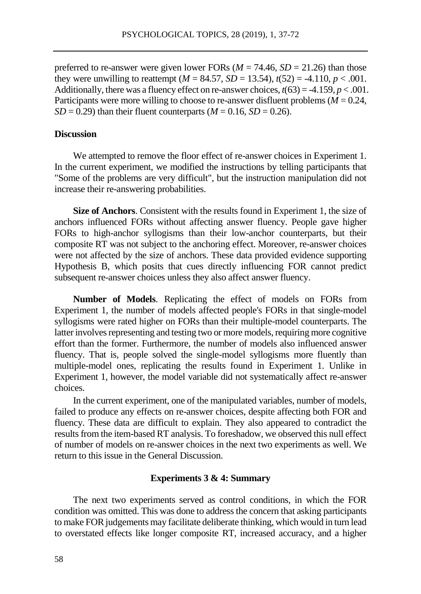preferred to re-answer were given lower FORs  $(M = 74.46, SD = 21.26)$  than those they were unwilling to reattempt ( $M = 84.57$ ,  $SD = 13.54$ ),  $t(52) = -4.110$ ,  $p < .001$ . Additionally, there was a fluency effect on re-answer choices,  $t(63) = -4.159$ ,  $p < .001$ . Participants were more willing to choose to re-answer disfluent problems (*M* = 0.24,  $SD = 0.29$ ) than their fluent counterparts  $(M = 0.16, SD = 0.26)$ .

### **Discussion**

We attempted to remove the floor effect of re-answer choices in Experiment 1. In the current experiment, we modified the instructions by telling participants that "Some of the problems are very difficult", but the instruction manipulation did not increase their re-answering probabilities.

**Size of Anchors**. Consistent with the results found in Experiment 1, the size of anchors influenced FORs without affecting answer fluency. People gave higher FORs to high-anchor syllogisms than their low-anchor counterparts, but their composite RT was not subject to the anchoring effect. Moreover, re-answer choices were not affected by the size of anchors. These data provided evidence supporting Hypothesis B, which posits that cues directly influencing FOR cannot predict subsequent re-answer choices unless they also affect answer fluency.

**Number of Models**. Replicating the effect of models on FORs from Experiment 1, the number of models affected people's FORs in that single-model syllogisms were rated higher on FORs than their multiple-model counterparts. The latter involves representing and testing two or more models, requiring more cognitive effort than the former. Furthermore, the number of models also influenced answer fluency. That is, people solved the single-model syllogisms more fluently than multiple-model ones, replicating the results found in Experiment 1. Unlike in Experiment 1, however, the model variable did not systematically affect re-answer choices.

In the current experiment, one of the manipulated variables, number of models, failed to produce any effects on re-answer choices, despite affecting both FOR and fluency. These data are difficult to explain. They also appeared to contradict the results from the item-based RT analysis. To foreshadow, we observed this null effect of number of models on re-answer choices in the next two experiments as well. We return to this issue in the General Discussion.

### **Experiments 3 & 4: Summary**

The next two experiments served as control conditions, in which the FOR condition was omitted. This was done to address the concern that asking participants to make FOR judgements may facilitate deliberate thinking, which would in turn lead to overstated effects like longer composite RT, increased accuracy, and a higher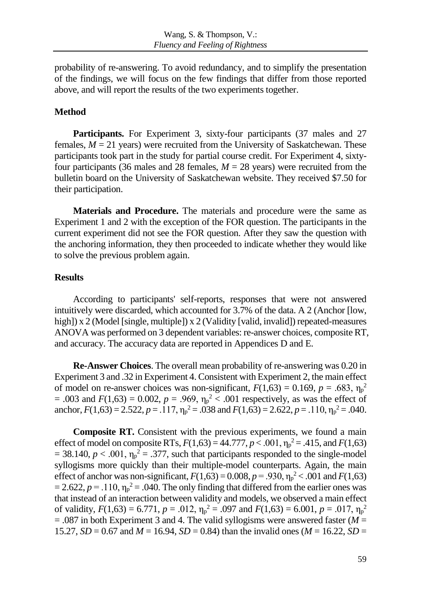probability of re-answering. To avoid redundancy, and to simplify the presentation of the findings, we will focus on the few findings that differ from those reported above, and will report the results of the two experiments together.

# **Method**

Participants. For Experiment 3, sixty-four participants (37 males and 27 females,  $M = 21$  years) were recruited from the University of Saskatchewan. These participants took part in the study for partial course credit. For Experiment 4, sixtyfour participants (36 males and 28 females,  $M = 28$  years) were recruited from the bulletin board on the University of Saskatchewan website. They received \$7.50 for their participation.

**Materials and Procedure.** The materials and procedure were the same as Experiment 1 and 2 with the exception of the FOR question. The participants in the current experiment did not see the FOR question. After they saw the question with the anchoring information, they then proceeded to indicate whether they would like to solve the previous problem again.

# **Results**

According to participants' self-reports, responses that were not answered intuitively were discarded, which accounted for 3.7% of the data. A 2 (Anchor [low, high]) x 2 (Model [single, multiple]) x 2 (Validity [valid, invalid]) repeated-measures ANOVA was performed on 3 dependent variables: re-answer choices, composite RT, and accuracy. The accuracy data are reported in Appendices D and E.

**Re-Answer Choices**. The overall mean probability of re-answering was 0.20 in Experiment 3 and .32 in Experiment 4. Consistent with Experiment 2, the main effect of model on re-answer choices was non-significant,  $F(1,63) = 0.169$ ,  $p = .683$ ,  $\eta_p^2$  $= .003$  and  $F(1,63) = 0.002$ ,  $p = .969$ ,  $\eta_p^2 < .001$  respectively, as was the effect of anchor,  $F(1,63) = 2.522$ ,  $p = .117$ ,  $\eta_p^2 = .038$  and  $F(1,63) = 2.622$ ,  $p = .110$ ,  $\eta_p^2 = .040$ .

**Composite RT.** Consistent with the previous experiments, we found a main effect of model on composite RTs,  $F(1,63) = 44.777$ ,  $p < .001$ ,  $\eta_p^2 = .415$ , and  $F(1,63)$  $= 38.140, p < .001, \eta_p^2 = .377$ , such that participants responded to the single-model syllogisms more quickly than their multiple-model counterparts. Again, the main effect of anchor was non-significant,  $F(1,63) = 0.008$ ,  $p = .930$ ,  $\eta_p^2 < .001$  and  $F(1,63)$  $= 2.622, p = .110, \eta_p^2 = .040$ . The only finding that differed from the earlier ones was that instead of an interaction between validity and models, we observed a main effect of validity,  $F(1,63) = 6.771$ ,  $p = .012$ ,  $\eta_p^2 = .097$  and  $F(1,63) = 6.001$ ,  $p = .017$ ,  $\eta_p^2$  $= .087$  in both Experiment 3 and 4. The valid syllogisms were answered faster ( $M =$ 15.27, *SD* = 0.67 and *M* = 16.94, *SD* = 0.84) than the invalid ones (*M* = 16.22, *SD* =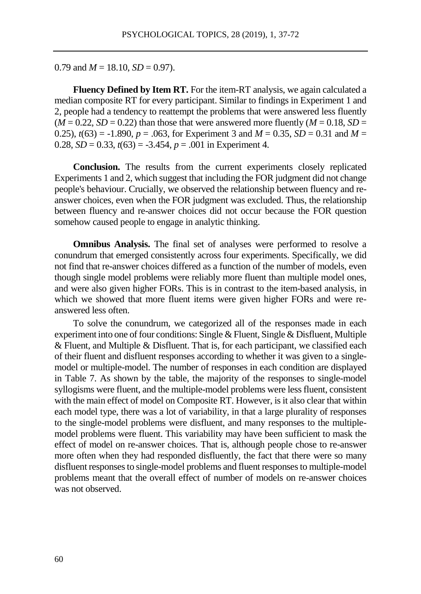0.79 and  $M = 18.10$ ,  $SD = 0.97$ ).

**Fluency Defined by Item RT.** For the item-RT analysis, we again calculated a median composite RT for every participant. Similar to findings in Experiment 1 and 2, people had a tendency to reattempt the problems that were answered less fluently  $(M = 0.22, SD = 0.22)$  than those that were answered more fluently  $(M = 0.18, SD = 0.22)$ 0.25),  $t(63) = -1.890$ ,  $p = .063$ , for Experiment 3 and  $M = 0.35$ ,  $SD = 0.31$  and  $M =$ 0.28,  $SD = 0.33$ ,  $t(63) = -3.454$ ,  $p = .001$  in Experiment 4.

**Conclusion.** The results from the current experiments closely replicated Experiments 1 and 2, which suggest that including the FOR judgment did not change people's behaviour. Crucially, we observed the relationship between fluency and reanswer choices, even when the FOR judgment was excluded. Thus, the relationship between fluency and re-answer choices did not occur because the FOR question somehow caused people to engage in analytic thinking.

**Omnibus Analysis.** The final set of analyses were performed to resolve a conundrum that emerged consistently across four experiments. Specifically, we did not find that re-answer choices differed as a function of the number of models, even though single model problems were reliably more fluent than multiple model ones, and were also given higher FORs. This is in contrast to the item-based analysis, in which we showed that more fluent items were given higher FORs and were reanswered less often.

To solve the conundrum, we categorized all of the responses made in each experiment into one of four conditions: Single & Fluent, Single & Disfluent, Multiple & Fluent, and Multiple & Disfluent. That is, for each participant, we classified each of their fluent and disfluent responses according to whether it was given to a singlemodel or multiple-model. The number of responses in each condition are displayed in Table 7. As shown by the table, the majority of the responses to single-model syllogisms were fluent, and the multiple-model problems were less fluent, consistent with the main effect of model on Composite RT. However, is it also clear that within each model type, there was a lot of variability, in that a large plurality of responses to the single-model problems were disfluent, and many responses to the multiplemodel problems were fluent. This variability may have been sufficient to mask the effect of model on re-answer choices. That is, although people chose to re-answer more often when they had responded disfluently, the fact that there were so many disfluent responses to single-model problems and fluent responses to multiple-model problems meant that the overall effect of number of models on re-answer choices was not observed.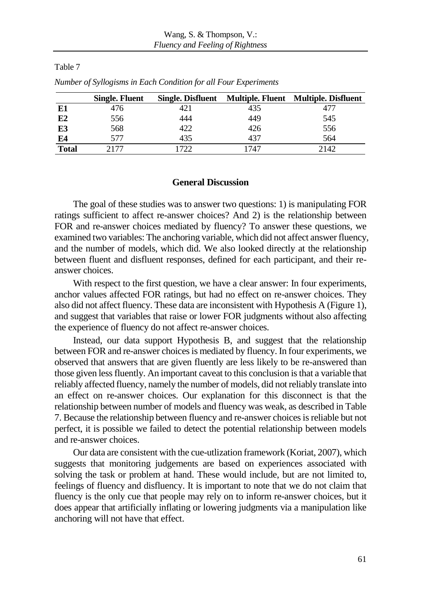|              | <b>Single. Fluent</b> | <b>Single. Disfluent</b> |      | Multiple. Fluent Multiple. Disfluent |
|--------------|-----------------------|--------------------------|------|--------------------------------------|
| E1           | 476                   | 421                      | 435  | 477                                  |
| E2           | 556                   | 444                      | 449  | 545                                  |
| E3           | 568                   | 422                      | 426  | 556                                  |
| E4           | 577                   | 435                      | 437  | 564                                  |
| <b>Total</b> | 2177                  |                          | 1747 | 2142                                 |

*Number of Syllogisms in Each Condition for all Four Experiments*

### **General Discussion**

The goal of these studies was to answer two questions: 1) is manipulating FOR ratings sufficient to affect re-answer choices? And 2) is the relationship between FOR and re-answer choices mediated by fluency? To answer these questions, we examined two variables: The anchoring variable, which did not affect answer fluency, and the number of models, which did. We also looked directly at the relationship between fluent and disfluent responses, defined for each participant, and their reanswer choices.

With respect to the first question, we have a clear answer: In four experiments, anchor values affected FOR ratings, but had no effect on re-answer choices. They also did not affect fluency. These data are inconsistent with Hypothesis A (Figure 1), and suggest that variables that raise or lower FOR judgments without also affecting the experience of fluency do not affect re-answer choices.

Instead, our data support Hypothesis B, and suggest that the relationship between FOR and re-answer choices is mediated by fluency. In four experiments, we observed that answers that are given fluently are less likely to be re-answered than those given less fluently. An important caveat to this conclusion is that a variable that reliably affected fluency, namely the number of models, did not reliably translate into an effect on re-answer choices. Our explanation for this disconnect is that the relationship between number of models and fluency was weak, as described in Table 7. Because the relationship between fluency and re-answer choices is reliable but not perfect, it is possible we failed to detect the potential relationship between models and re-answer choices.

Our data are consistent with the cue-utlization framework (Koriat, 2007), which suggests that monitoring judgements are based on experiences associated with solving the task or problem at hand. These would include, but are not limited to, feelings of fluency and disfluency. It is important to note that we do not claim that fluency is the only cue that people may rely on to inform re-answer choices, but it does appear that artificially inflating or lowering judgments via a manipulation like anchoring will not have that effect.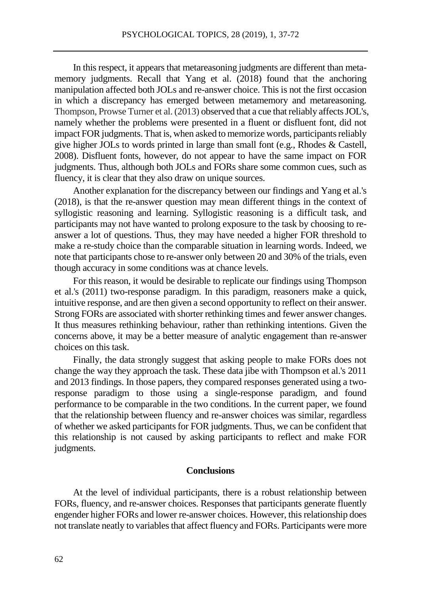In this respect, it appears that metareasoning judgments are different than metamemory judgments. Recall that Yang et al. (2018) found that the anchoring manipulation affected both JOLs and re-answer choice. This is not the first occasion in which a discrepancy has emerged between metamemory and metareasoning. Thompson, Prowse Turner et al. (2013) observed that a cue that reliably affects JOL's, namely whether the problems were presented in a fluent or disfluent font, did not impact FOR judgments. That is, when asked to memorize words, participants reliably give higher JOLs to words printed in large than small font (e.g., Rhodes & Castell, 2008). Disfluent fonts, however, do not appear to have the same impact on FOR judgments. Thus, although both JOLs and FORs share some common cues, such as fluency, it is clear that they also draw on unique sources.

Another explanation for the discrepancy between our findings and Yang et al.'s (2018), is that the re-answer question may mean different things in the context of syllogistic reasoning and learning. Syllogistic reasoning is a difficult task, and participants may not have wanted to prolong exposure to the task by choosing to reanswer a lot of questions. Thus, they may have needed a higher FOR threshold to make a re-study choice than the comparable situation in learning words. Indeed, we note that participants chose to re-answer only between 20 and 30% of the trials, even though accuracy in some conditions was at chance levels.

For this reason, it would be desirable to replicate our findings using Thompson et al.'s (2011) two-response paradigm. In this paradigm, reasoners make a quick, intuitive response, and are then given a second opportunity to reflect on their answer. Strong FORs are associated with shorter rethinking times and fewer answer changes. It thus measures rethinking behaviour, rather than rethinking intentions. Given the concerns above, it may be a better measure of analytic engagement than re-answer choices on this task.

Finally, the data strongly suggest that asking people to make FORs does not change the way they approach the task. These data jibe with Thompson et al.'s 2011 and 2013 findings. In those papers, they compared responses generated using a tworesponse paradigm to those using a single-response paradigm, and found performance to be comparable in the two conditions. In the current paper, we found that the relationship between fluency and re-answer choices was similar, regardless of whether we asked participants for FOR judgments. Thus, we can be confident that this relationship is not caused by asking participants to reflect and make FOR judgments.

### **Conclusions**

At the level of individual participants, there is a robust relationship between FORs, fluency, and re-answer choices. Responses that participants generate fluently engender higher FORs and lower re-answer choices. However, this relationship does not translate neatly to variables that affect fluency and FORs. Participants were more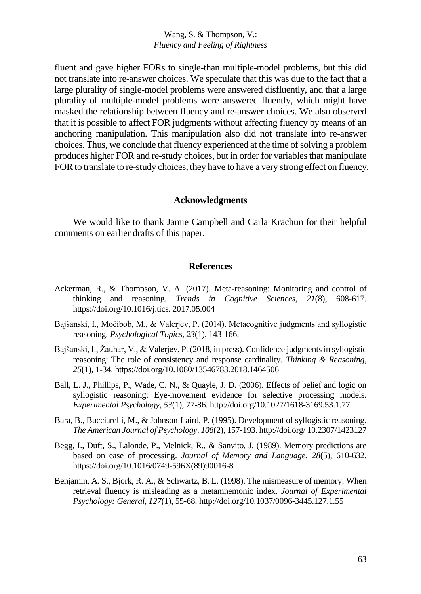fluent and gave higher FORs to single-than multiple-model problems, but this did not translate into re-answer choices. We speculate that this was due to the fact that a large plurality of single-model problems were answered disfluently, and that a large plurality of multiple-model problems were answered fluently, which might have masked the relationship between fluency and re-answer choices. We also observed that it is possible to affect FOR judgments without affecting fluency by means of an anchoring manipulation. This manipulation also did not translate into re-answer choices. Thus, we conclude that fluency experienced at the time of solving a problem produces higher FOR and re-study choices, but in order for variables that manipulate FOR to translate to re-study choices, they have to have a very strong effect on fluency.

### **Acknowledgments**

We would like to thank Jamie Campbell and Carla Krachun for their helpful comments on earlier drafts of this paper.

### **References**

- Ackerman, R., & Thompson, V. A. (2017). Meta-reasoning: Monitoring and control of thinking and reasoning. *Trends in Cognitive Sciences*, *21*(8), 608-617. https://doi.org/10.1016/j.tics. 2017.05.004
- Bajšanski, I., Močibob, M., & Valerjev, P. (2014). Metacognitive judgments and syllogistic reasoning. *Psychological Topics*, *23*(1), 143-166.
- Bajšanski, I., Žauhar, V., & Valerjev, P. (2018, in press). Confidence judgments in syllogistic reasoning: The role of consistency and response cardinality. *Thinking & Reasoning*, *25*(1), 1-34. https://doi.org/10.1080/13546783.2018.1464506
- Ball, L. J., Phillips, P., Wade, C. N., & Quayle, J. D. (2006). Effects of belief and logic on syllogistic reasoning: Eye-movement evidence for selective processing models. *Experimental Psychology, 53*(1), 77-86. http://doi.org/10.1027/1618-3169.53.1.77
- Bara, B., Bucciarelli, M., & Johnson-Laird, P. (1995). Development of syllogistic reasoning. *The American Journal of Psychology, 108*(2), 157-193. http://doi.org/ 10.2307/1423127
- Begg, I., Duft, S., Lalonde, P., Melnick, R., & Sanvito, J. (1989). Memory predictions are based on ease of processing. *Journal of Memory and Language*, *28*(5), 610-632. [https://doi.org/10.1016/0749-596X\(89\)90016-8](https://doi.org/10.1016/0749-596X(89)90016-8)
- Benjamin, A. S., Bjork, R. A., & Schwartz, B. L. (1998). The mismeasure of memory: When retrieval fluency is misleading as a metamnemonic index. *Journal of Experimental Psychology: General, 127*(1), 55-68. http://doi.org/10.1037/0096-3445.127.1.55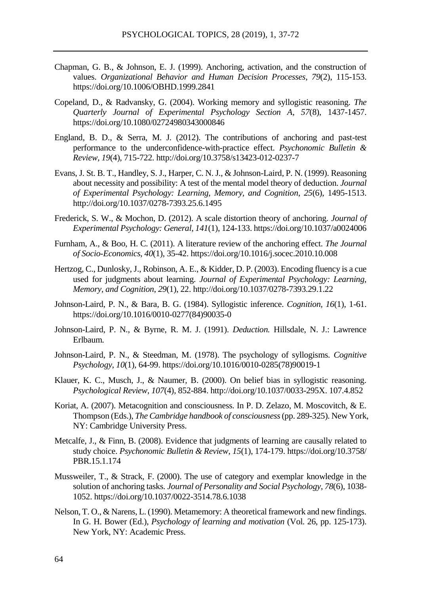- Chapman, G. B., & Johnson, E. J. (1999). Anchoring, activation, and the construction of values. *Organizational Behavior and Human Decision Processes*, *79*(2), 115-153. https://doi.org/10.1006/OBHD.1999.2841
- Copeland, D., & Radvansky, G. (2004). Working memory and syllogistic reasoning. *The Quarterly Journal of Experimental Psychology Section A*, *57*(8), 1437-1457. https://doi.org/10.1080/02724980343000846
- England, B. D., & Serra, M. J. (2012). The contributions of anchoring and past-test performance to the underconfidence-with-practice effect. *Psychonomic Bulletin & Review, 19*(4), 715-722. http://doi.org/10.3758/s13423-012-0237-7
- Evans, J. St. B. T., Handley, S. J., Harper, C. N. J., & Johnson-Laird, P. N. (1999). Reasoning about necessity and possibility: A test of the mental model theory of deduction. *Journal of Experimental Psychology: Learning, Memory, and Cognition*, *25*(6), 1495-1513. http://doi.org/10.1037/0278-7393.25.6.1495
- Frederick, S. W., & Mochon, D. (2012). A scale distortion theory of anchoring. *Journal of Experimental Psychology: General*, *141*(1), 124-133. https://doi.org/10.1037/a0024006
- Furnham, A., & Boo, H. C. (2011). A literature review of the anchoring effect. *The Journal of Socio-Economics*, *40*(1), 35-42. <https://doi.org/10.1016/j.socec.2010.10.008>
- Hertzog, C., Dunlosky, J., Robinson, A. E., & Kidder, D. P. (2003). Encoding fluency is a cue used for judgments about learning. *Journal of Experimental Psychology: Learning, Memory, and Cognition*, *29*(1), 22. http://doi.org/10.1037/0278-7393.29.1.22
- Johnson-Laird, P. N., & Bara, B. G. (1984). Syllogistic inference. *Cognition, 16*(1), 1-61. https://doi.org/10.1016/0010-0277(84)90035-0
- Johnson-Laird, P. N., & Byrne, R. M. J. (1991). *Deduction.* Hillsdale, N. J.: Lawrence Erlbaum.
- Johnson-Laird, P. N., & Steedman, M. (1978). The psychology of syllogisms. *Cognitive Psychology*, *10*(1), 64-99. https://doi.org/10.1016/0010-0285(78)90019-1
- Klauer, K. C., Musch, J., & Naumer, B. (2000). On belief bias in syllogistic reasoning. *Psychological Review, 107*(4), 852-884. http://doi.org/10.1037/0033-295X. 107.4.852
- Koriat, A. (2007). Metacognition and consciousness. In P. D. Zelazo, M. Moscovitch, & E. Thompson (Eds.), *The Cambridge handbook of consciousness*(pp. 289-325). New York, NY: Cambridge University Press.
- Metcalfe, J., & Finn, B. (2008). Evidence that judgments of learning are causally related to study choice. *Psychonomic Bulletin & Review*, *15*(1), 174-179. https://doi.org/10.3758/ PBR.15.1.174
- Mussweiler, T., & Strack, F. (2000). The use of category and exemplar knowledge in the solution of anchoring tasks. *Journal of Personality and Social Psychology*, *78*(6), 1038- 1052. https://doi.org/10.1037/0022-3514.78.6.1038
- Nelson, T. O., & Narens, L. (1990). Metamemory: A theoretical framework and new findings. In G. H. Bower (Ed.), *Psychology of learning and motivation* (Vol. 26, pp. 125-173). New York, NY: Academic Press.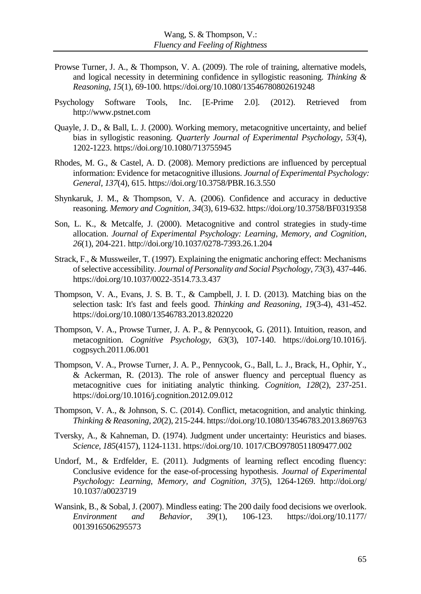- Prowse Turner, J. A., & Thompson, V. A. (2009). The role of training, alternative models, and logical necessity in determining confidence in syllogistic reasoning. *Thinking & Reasoning*, *15*(1), 69-100. <https://doi.org/10.1080/13546780802619248>
- Psychology Software Tools, Inc. [E-Prime 2.0]. (2012). Retrieved from http://www.pstnet.com
- Quayle, J. D., & Ball, L. J. (2000). Working memory, metacognitive uncertainty, and belief bias in syllogistic reasoning. *Quarterly Journal of Experimental Psychology, 53*(4), 1202-1223. <https://doi.org/10.1080/713755945>
- Rhodes, M. G., & Castel, A. D. (2008). Memory predictions are influenced by perceptual information: Evidence for metacognitive illusions. *Journal of Experimental Psychology: General*, *137*(4), 615. https://doi.org/10.3758/PBR.16.3.550
- Shynkaruk, J. M., & Thompson, V. A. (2006). Confidence and accuracy in deductive reasoning. *Memory and Cognition, 34*(3), 619-632. https://doi.org/10.3758/BF0319358
- Son, L. K., & Metcalfe, J. (2000). Metacognitive and control strategies in study-time allocation. *Journal of Experimental Psychology: Learning, Memory, and Cognition*, *26*(1), 204-221. http://doi.org/10.1037/0278-7393.26.1.204
- Strack, F., & Mussweiler, T. (1997). Explaining the enigmatic anchoring effect: Mechanisms of selective accessibility. *Journal of Personality and Social Psychology, 73*(3), 437-446. https://doi.org/10.1037/0022-3514.73.3.437
- Thompson, V. A., Evans, J. S. B. T., & Campbell, J. I. D. (2013). Matching bias on the selection task: It's fast and feels good. *Thinking and Reasoning*, *19*(3-4), 431-452. https://doi.org/10.1080/13546783.2013.820220
- Thompson, V. A., Prowse Turner, J. A. P., & Pennycook, G. (2011). Intuition, reason, and metacognition. *Cognitive Psychology*, *63*(3), 107-140. https://doi.org/10.1016/j. cogpsych.2011.06.001
- Thompson, V. A., Prowse Turner, J. A. P., Pennycook, G., Ball, L. J., Brack, H., Ophir, Y., & Ackerman, R. (2013). The role of answer fluency and perceptual fluency as metacognitive cues for initiating analytic thinking. *Cognition*, *128*(2), 237-251. https://doi.org/10.1016/j.cognition.2012.09.012
- Thompson, V. A., & Johnson, S. C. (2014). Conflict, metacognition, and analytic thinking. *Thinking & Reasoning, 20*(2), 215-244. <https://doi.org/10.1080/13546783.2013.869763>
- Tversky, A., & Kahneman, D. (1974). Judgment under uncertainty: Heuristics and biases. *Science, 185*(4157), 1124-1131. https://doi.org/10. 1017/CBO9780511809477.002
- Undorf, M., & Erdfelder, E. (2011). Judgments of learning reflect encoding fluency: Conclusive evidence for the ease-of-processing hypothesis. *Journal of Experimental Psychology: Learning, Memory, and Cognition*, *37*(5), 1264-1269. http://doi.org/ 10.1037/a0023719
- Wansink, B., & Sobal, J. (2007). Mindless eating: The 200 daily food decisions we overlook. *Environment and Behavior*, *39*(1), 106-123. https://doi.org/10.1177/ 0013916506295573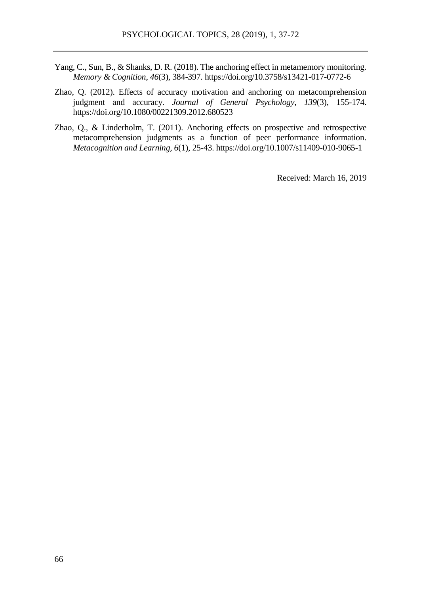- Yang, C., Sun, B., & Shanks, D. R. (2018). The anchoring effect in metamemory monitoring. *Memory & Cognition*, *46*(3), 384-397. https://doi.org/10.3758/s13421-017-0772-6
- Zhao, Q. (2012). Effects of accuracy motivation and anchoring on metacomprehension judgment and accuracy. *Journal of General Psychology, 139*(3), 155-174. https://doi.org/10.1080/00221309.2012.680523
- Zhao, Q., & Linderholm, T. (2011). Anchoring effects on prospective and retrospective metacomprehension judgments as a function of peer performance information. *Metacognition and Learning, 6*(1), 25-43. https://doi.org/10.1007/s11409-010-9065-1

Received: March 16, 2019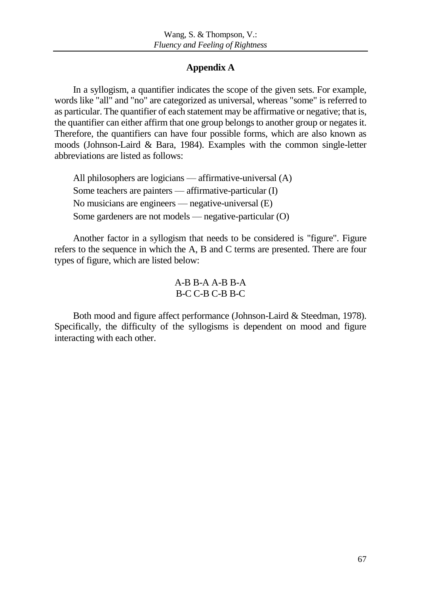# **Appendix A**

In a syllogism, a quantifier indicates the scope of the given sets. For example, words like "all" and "no" are categorized as universal, whereas "some" is referred to as particular. The quantifier of each statement may be affirmative or negative; that is, the quantifier can either affirm that one group belongs to another group or negates it. Therefore, the quantifiers can have four possible forms, which are also known as moods (Johnson-Laird & Bara, 1984). Examples with the common single-letter abbreviations are listed as follows:

All philosophers are logicians — affirmative-universal (A) Some teachers are painters — affirmative-particular (I) No musicians are engineers — negative-universal (E) Some gardeners are not models — negative-particular (O)

Another factor in a syllogism that needs to be considered is "figure". Figure refers to the sequence in which the A, B and C terms are presented. There are four types of figure, which are listed below:

# A-B B-A A-B B-A B-C C-B C-B B-C

Both mood and figure affect performance (Johnson-Laird & Steedman, 1978). Specifically, the difficulty of the syllogisms is dependent on mood and figure interacting with each other.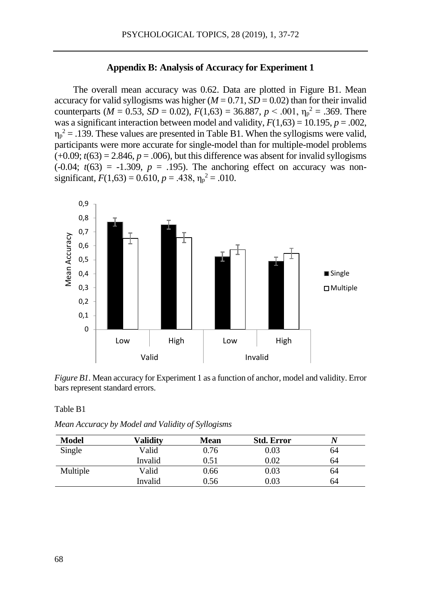### **Appendix B: Analysis of Accuracy for Experiment 1**

The overall mean accuracy was 0.62. Data are plotted in Figure B1. Mean accuracy for valid syllogisms was higher  $(M = 0.71, SD = 0.02)$  than for their invalid counterparts ( $M = 0.53$ ,  $SD = 0.02$ ),  $F(1,63) = 36.887$ ,  $p < .001$ ,  $\eta_p^2 = .369$ . There was a significant interaction between model and validity,  $F(1,63) = 10.195$ ,  $p = .002$ ,  $\eta_p^2$  = .139. These values are presented in Table B1. When the syllogisms were valid, participants were more accurate for single-model than for multiple-model problems  $(+0.09; t(63) = 2.846, p = .006)$ , but this difference was absent for invalid syllogisms  $(-0.04; t(63) = -1.309, p = .195)$ . The anchoring effect on accuracy was nonsignificant,  $F(1,63) = 0.610$ ,  $p = .438$ ,  $\eta_p^2 = .010$ .



*Figure B1.* Mean accuracy for Experiment 1 as a function of anchor, model and validity. Error bars represent standard errors.

Table B1

*Mean Accuracy by Model and Validity of Syllogisms*

| <b>Model</b> | Validitv | Mean | <b>Std. Error</b> |    |
|--------------|----------|------|-------------------|----|
| Single       | Valid    | 0.76 | 0.03              | 64 |
|              | Invalid  | 0.51 | 0.02              | 64 |
| Multiple     | Valid    | 0.66 | 0.03              | 64 |
|              | Invalid  | 0.56 | 0.03              | 64 |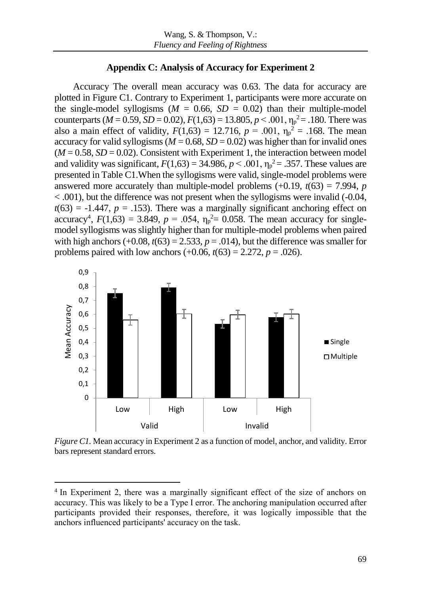# **Appendix C: Analysis of Accuracy for Experiment 2**

Accuracy The overall mean accuracy was 0.63. The data for accuracy are plotted in Figure C1. Contrary to Experiment 1, participants were more accurate on the single-model syllogisms ( $M = 0.66$ ,  $SD = 0.02$ ) than their multiple-model counterparts ( $M = 0.59$ ,  $SD = 0.02$ ),  $F(1,63) = 13.805$ ,  $p < .001$ ,  $\eta_p^2 = .180$ . There was also a main effect of validity,  $F(1,63) = 12.716$ ,  $p = .001$ ,  $\eta_p^2 = .168$ . The mean accuracy for valid syllogisms ( $M = 0.68$ ,  $SD = 0.02$ ) was higher than for invalid ones  $(M = 0.58, SD = 0.02)$ . Consistent with Experiment 1, the interaction between model and validity was significant,  $F(1,63) = 34.986$ ,  $p < .001$ ,  $\eta_p^2 = .357$ . These values are presented in Table C1.When the syllogisms were valid, single-model problems were answered more accurately than multiple-model problems  $(+0.19, t(63) = 7.994, p$ < .001), but the difference was not present when the syllogisms were invalid (-0.04,  $t(63) = -1.447$ ,  $p = .153$ ). There was a marginally significant anchoring effect on accuracy<sup>4</sup>,  $F(1,63) = 3.849$ ,  $p = .054$ ,  $\eta_p^2 = 0.058$ . The mean accuracy for singlemodel syllogisms was slightly higher than for multiple-model problems when paired with high anchors  $(+0.08, t(63) = 2.533, p = .014)$ , but the difference was smaller for problems paired with low anchors  $(+0.06, t(63) = 2.272, p = .026)$ .



*Figure C1.* Mean accuracy in Experiment 2 as a function of model, anchor, and validity. Error bars represent standard errors.

<sup>&</sup>lt;sup>4</sup> In Experiment 2, there was a marginally significant effect of the size of anchors on accuracy. This was likely to be a Type I error. The anchoring manipulation occurred after participants provided their responses, therefore, it was logically impossible that the anchors influenced participants' accuracy on the task.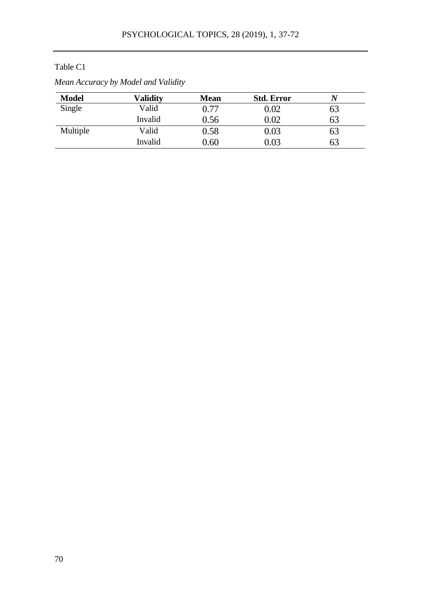# Table C1

| <b>Model</b> | Validitv | Mean | <b>Std. Error</b> |     |  |
|--------------|----------|------|-------------------|-----|--|
| Single       | Valid    | 0.77 | 0.02              | 63  |  |
|              | Invalid  | 0.56 | 0.02              | 63  |  |
| Multiple     | Valid    | 0.58 | 0.03              | O3  |  |
|              | Invalid  | ).60 | 0.03              | რ.ქ |  |
|              |          |      |                   |     |  |

# *Mean Accuracy by Model and Validity*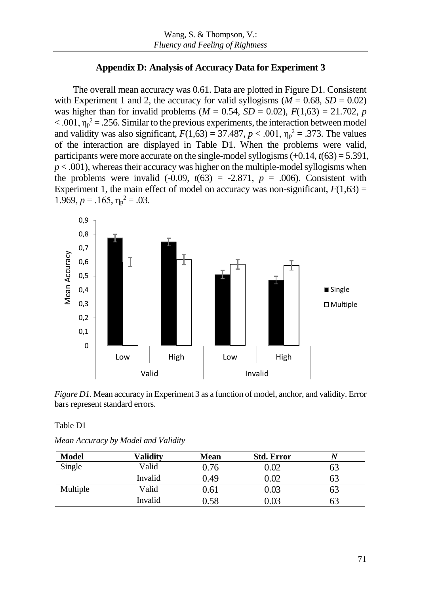# **Appendix D: Analysis of Accuracy Data for Experiment 3**

The overall mean accuracy was 0.61. Data are plotted in Figure D1. Consistent with Experiment 1 and 2, the accuracy for valid syllogisms ( $M = 0.68$ ,  $SD = 0.02$ ) was higher than for invalid problems ( $M = 0.54$ ,  $SD = 0.02$ ),  $F(1,63) = 21.702$ , *p*  $< .001$ ,  $\eta_p^2 = .256$ . Similar to the previous experiments, the interaction between model and validity was also significant,  $F(1,63) = 37.487, p < .001, \eta_p^2 = .373$ . The values of the interaction are displayed in Table D1. When the problems were valid, participants were more accurate on the single-model syllogisms  $(+0.14, t(63) = 5.391,$  $p < .001$ ), whereas their accuracy was higher on the multiple-model syllogisms when the problems were invalid  $(-0.09, t(63) = -2.871, p = .006)$ . Consistent with Experiment 1, the main effect of model on accuracy was non-significant,  $F(1,63) =$ 1.969,  $p = .165$ ,  $\eta_p^2 = .03$ .



*Figure D1*. Mean accuracy in Experiment 3 as a function of model, anchor, and validity. Error bars represent standard errors.

Table D1

| Mean Accuracy by Model and Validity |  |  |  |
|-------------------------------------|--|--|--|
|-------------------------------------|--|--|--|

| Model    | Validitv | Mean | <b>Std. Error</b> | N  |  |
|----------|----------|------|-------------------|----|--|
| Single   | Valid    | 0.76 | $0.02\,$          | 63 |  |
|          | Invalid  | 0.49 | 0.02              | 63 |  |
| Multiple | Valid    | 0.61 | 0.03              | 63 |  |
|          | Invalid  | 0.58 | 0.03              | 63 |  |